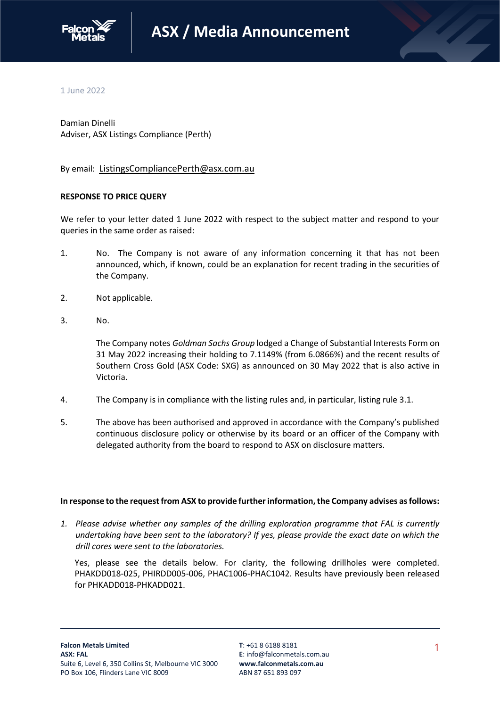

1 June 2022

Damian Dinelli Adviser, ASX Listings Compliance (Perth)

By email: [ListingsCompliancePerth@asx.com.au](mailto:ListingsCompliancePerth@asx.com.au)

# **RESPONSE TO PRICE QUERY**

We refer to your letter dated 1 June 2022 with respect to the subject matter and respond to your queries in the same order as raised:

- 1. No. The Company is not aware of any information concerning it that has not been announced, which, if known, could be an explanation for recent trading in the securities of the Company.
- 2. Not applicable.
- 3. No.

The Company notes *Goldman Sachs Group* lodged a Change of Substantial Interests Form on 31 May 2022 increasing their holding to 7.1149% (from 6.0866%) and the recent results of Southern Cross Gold (ASX Code: SXG) as announced on 30 May 2022 that is also active in Victoria.

- 4. The Company is in compliance with the listing rules and, in particular, listing rule 3.1.
- 5. The above has been authorised and approved in accordance with the Company's published continuous disclosure policy or otherwise by its board or an officer of the Company with delegated authority from the board to respond to ASX on disclosure matters.

## **In response to the request from ASX to provide further information, the Company advises as follows:**

*1. Please advise whether any samples of the drilling exploration programme that FAL is currently undertaking have been sent to the laboratory? If yes, please provide the exact date on which the drill cores were sent to the laboratories.* 

Yes, please see the details below. For clarity, the following drillholes were completed. PHAKDD018-025, PHIRDD005-006, PHAC1006-PHAC1042. Results have previously been released for PHKADD018-PHKADD021.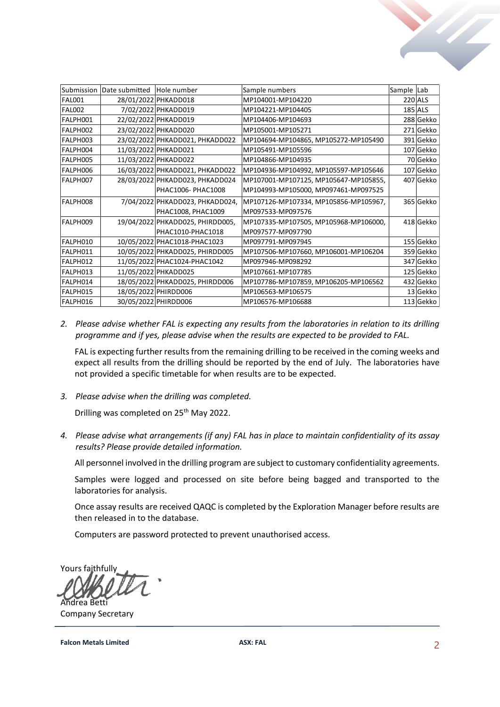|               | Submission Date submitted Hole number |                                  | Sample numbers                        | Sample Lab |                |
|---------------|---------------------------------------|----------------------------------|---------------------------------------|------------|----------------|
| <b>FAL001</b> |                                       | 28/01/2022 PHKADD018             | MP104001-MP104220                     |            | <b>220 ALS</b> |
| <b>FAL002</b> |                                       | 7/02/2022 PHKADD019              | MP104221-MP104405                     |            | <b>185 ALS</b> |
| FALPH001      |                                       | 22/02/2022 PHKADD019             | MP104406-MP104693                     |            | 288 Gekko      |
| FALPH002      |                                       | 23/02/2022 PHKADD020             | MP105001-MP105271                     |            | 271 Gekko      |
| FALPH003      |                                       | 23/02/2022 PHKADD021, PHKADD022  | MP104694-MP104865, MP105272-MP105490  |            | 391 Gekko      |
| FALPH004      |                                       | 11/03/2022 PHKADD021             | MP105491-MP105596                     |            | 107 Gekko      |
| FALPH005      |                                       | 11/03/2022 PHKADD022             | MP104866-MP104935                     |            | 70 Gekko       |
| FALPH006      |                                       | 16/03/2022 PHKADD021, PHKADD022  | MP104936-MP104992, MP105597-MP105646  |            | 107 Gekko      |
| FALPH007      |                                       | 28/03/2022 PHKADD023, PHKADD024  | MP107001-MP107125, MP105647-MP105855, |            | 407 Gekko      |
|               |                                       | PHAC1006- PHAC1008               | MP104993-MP105000, MP097461-MP097525  |            |                |
| FALPH008      |                                       | 7/04/2022 PHKADD023, PHKADD024,  | MP107126-MP107334, MP105856-MP105967, |            | 365 Gekko      |
|               |                                       | PHAC1008, PHAC1009               | MP097533-MP097576                     |            |                |
| FALPH009      |                                       | 19/04/2022 PHKADD025, PHIRDD005, | MP107335-MP107505, MP105968-MP106000, |            | 418 Gekko      |
|               |                                       | PHAC1010-PHAC1018                | MP097577-MP097790                     |            |                |
| FALPH010      |                                       | 10/05/2022 PHAC1018-PHAC1023     | MP097791-MP097945                     |            | 155 Gekko      |
| FALPH011      |                                       | 10/05/2022 PHKADD025, PHIRDD005  | MP107506-MP107660, MP106001-MP106204  |            | 359 Gekko      |
| FALPH012      |                                       | 11/05/2022 PHAC1024-PHAC1042     | MP097946-MP098292                     |            | 347 Gekko      |
| FALPH013      |                                       | 11/05/2022 PHKADD025             | MP107661-MP107785                     |            | 125 Gekko      |
| FALPH014      |                                       | 18/05/2022 PHKADD025, PHIRDD006  | MP107786-MP107859, MP106205-MP106562  |            | 432 Gekko      |
| FALPH015      |                                       | 18/05/2022 PHIRDD006             | MP106563-MP106575                     |            | 13 Gekko       |
| FALPH016      |                                       | 30/05/2022 PHIRDD006             | MP106576-MP106688                     |            | 113 Gekko      |

*2. Please advise whether FAL is expecting any results from the laboratories in relation to its drilling programme and if yes, please advise when the results are expected to be provided to FAL.*

FAL is expecting further results from the remaining drilling to be received in the coming weeks and expect all results from the drilling should be reported by the end of July. The laboratories have not provided a specific timetable for when results are to be expected.

*3. Please advise when the drilling was completed.* 

Drilling was completed on 25<sup>th</sup> May 2022.

*4. Please advise what arrangements (if any) FAL has in place to maintain confidentiality of its assay results? Please provide detailed information.* 

All personnel involved in the drilling program are subject to customary confidentiality agreements.

Samples were logged and processed on site before being bagged and transported to the laboratories for analysis.

Once assay results are received QAQC is completed by the Exploration Manager before results are then released in to the database.

Computers are password protected to prevent unauthorised access.

Yours faithfully Andrea Betti

Company Secretary

**Falcon Metals Limited ASX: FAL ASX: FAL ASX: FAL 2**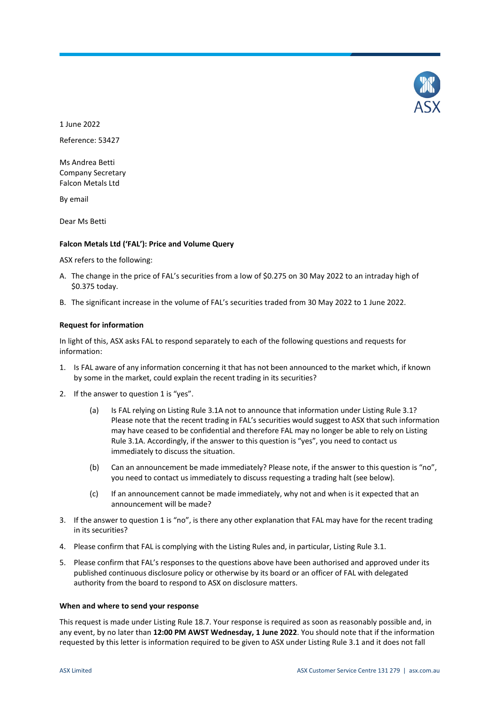

1 June 2022

Reference: 53427

Ms Andrea Betti Company Secretary Falcon Metals Ltd

By email

Dear Ms Betti

# **Falcon Metals Ltd ('FAL'): Price and Volume Query**

ASX refers to the following:

- A. The change in the price of FAL's securities from a low of \$0.275 on 30 May 2022 to an intraday high of \$0.375 today.
- B. The significant increase in the volume of FAL's securities traded from 30 May 2022 to 1 June 2022.

## **Request for information**

In light of this, ASX asks FAL to respond separately to each of the following questions and requests for information:

- 1. Is FAL aware of any information concerning it that has not been announced to the market which, if known by some in the market, could explain the recent trading in its securities?
- 2. If the answer to question 1 is "yes".
	- (a) Is FAL relying on Listing Rule 3.1A not to announce that information under Listing Rule 3.1? Please note that the recent trading in FAL's securities would suggest to ASX that such information may have ceased to be confidential and therefore FAL may no longer be able to rely on Listing Rule 3.1A. Accordingly, if the answer to this question is "yes", you need to contact us immediately to discuss the situation.
	- (b) Can an announcement be made immediately? Please note, if the answer to this question is "no", you need to contact us immediately to discuss requesting a trading halt (see below).
	- (c) If an announcement cannot be made immediately, why not and when is it expected that an announcement will be made?
- 3. If the answer to question 1 is "no", is there any other explanation that FAL may have for the recent trading in its securities?
- 4. Please confirm that FAL is complying with the Listing Rules and, in particular, Listing Rule 3.1.
- 5. Please confirm that FAL's responses to the questions above have been authorised and approved under its published continuous disclosure policy or otherwise by its board or an officer of FAL with delegated authority from the board to respond to ASX on disclosure matters.

## **When and where to send your response**

This request is made under Listing Rule 18.7. Your response is required as soon as reasonably possible and, in any event, by no later than **12:00 PM AWST Wednesday, 1 June 2022**. You should note that if the information requested by this letter is information required to be given to ASX under Listing Rule 3.1 and it does not fall